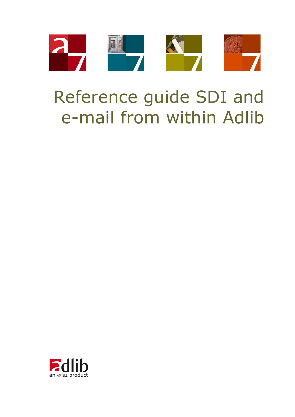

# Reference guide SDI and e-mail from within Adlib

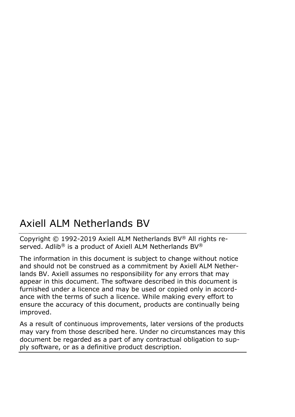# Axiell ALM Netherlands BV

Copyright © 1992-2019 Axiell ALM Netherlands BV® All rights reserved. Adlib<sup>®</sup> is a product of Axiell ALM Netherlands BV<sup>®</sup>

The information in this document is subject to change without notice and should not be construed as a commitment by Axiell ALM Netherlands BV. Axiell assumes no responsibility for any errors that may appear in this document. The software described in this document is furnished under a licence and may be used or copied only in accordance with the terms of such a licence. While making every effort to ensure the accuracy of this document, products are continually being improved.

As a result of continuous improvements, later versions of the products may vary from those described here. Under no circumstances may this document be regarded as a part of any contractual obligation to supply software, or as a definitive product description.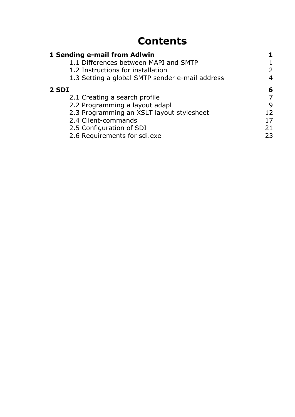# **Contents**

| 1 Sending e-mail from Adlwin                    |               |
|-------------------------------------------------|---------------|
| 1.1 Differences between MAPI and SMTP           |               |
| 1.2 Instructions for installation               | $\mathcal{P}$ |
| 1.3 Setting a global SMTP sender e-mail address | 4             |
| 2 SDI                                           | 6             |
| 2.1 Creating a search profile                   |               |
| 2.2 Programming a layout adapl                  | 9             |
| 2.3 Programming an XSLT layout stylesheet       | 12            |
| 2.4 Client-commands                             | 17            |
| 2.5 Configuration of SDI                        | 21            |
| 2.6 Requirements for sdi.exe                    | 23            |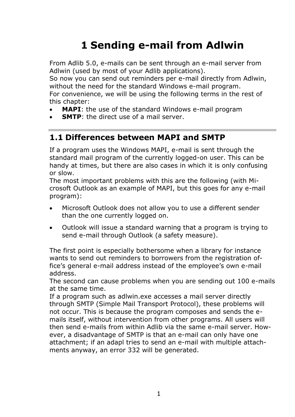# **1 Sending e-mail from Adlwin**

<span id="page-4-0"></span>From Adlib 5.0, e-mails can be sent through an e-mail server from Adlwin (used by most of your Adlib applications).

So now you can send out reminders per e-mail directly from Adlwin, without the need for the standard Windows e-mail program. For convenience, we will be using the following terms in the rest of this chapter:

- **MAPI**: the use of the standard Windows e-mail program
- <span id="page-4-1"></span>**SMTP**: the direct use of a mail server.

## **1.1 Differences between MAPI and SMTP**

If a program uses the Windows MAPI, e-mail is sent through the standard mail program of the currently logged-on user. This can be handy at times, but there are also cases in which it is only confusing or slow.

The most important problems with this are the following (with Microsoft Outlook as an example of MAPI, but this goes for any e-mail program):

- Microsoft Outlook does not allow you to use a different sender than the one currently logged on.
- Outlook will issue a standard warning that a program is trying to send e-mail through Outlook (a safety measure).

The first point is especially bothersome when a library for instance wants to send out reminders to borrowers from the registration office's general e-mail address instead of the employee's own e-mail address.

The second can cause problems when you are sending out 100 e-mails at the same time.

If a program such as adlwin.exe accesses a mail server directly through SMTP (Simple Mail Transport Protocol), these problems will not occur. This is because the program composes and sends the emails itself, without intervention from other programs. All users will then send e-mails from within Adlib via the same e-mail server. However, a disadvantage of SMTP is that an e-mail can only have one attachment; if an adapl tries to send an e-mail with multiple attachments anyway, an error 332 will be generated.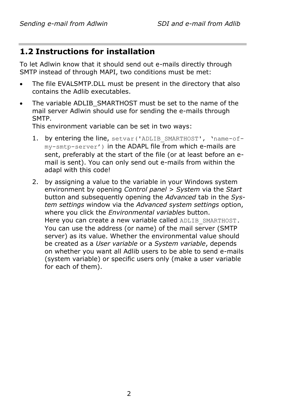## <span id="page-5-0"></span>**1.2 Instructions for installation**

To let Adlwin know that it should send out e-mails directly through SMTP instead of through MAPI, two conditions must be met:

- The file EVALSMTP.DLL must be present in the directory that also contains the Adlib executables.
- The variable ADLIB SMARTHOST must be set to the name of the mail server Adlwin should use for sending the e-mails through SMTP.

This environment variable can be set in two ways:

- 1. by entering the line, setvar ('ADLIB SMARTHOST', 'name-ofmy-smtp-server') in the ADAPL file from which e-mails are sent, preferably at the start of the file (or at least before an email is sent). You can only send out e-mails from within the adapl with this code!
- 2. by assigning a value to the variable in your Windows system environment by opening *Control panel* > *System* via the *Start*  button and subsequently opening the *Advanced* tab in the *System settings* window via the *Advanced system settings* option, where you click the *Environmental variables* button. Here you can create a new variable called ADLIB SMARTHOST. You can use the address (or name) of the mail server (SMTP server) as its value. Whether the environmental value should be created as a *User variable* or a *System variable*, depends on whether you want all Adlib users to be able to send e-mails (system variable) or specific users only (make a user variable for each of them).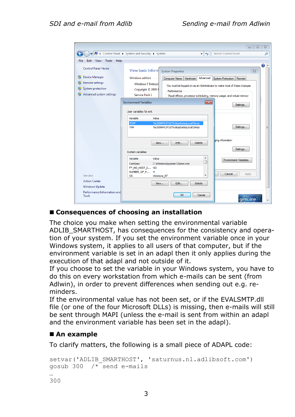| Tools<br>Edit<br><b>View</b><br>Help<br>File |                                                                                                               |
|----------------------------------------------|---------------------------------------------------------------------------------------------------------------|
| <b>Control Panel Home</b>                    | ⋒<br>View basic inform<br><b>System Properties</b><br>$\Sigma$                                                |
| <b>Device Manager</b>                        | <b>Windows edition</b><br>Advanced<br>Computer Name<br>Hardware<br>System Protection<br>Remote                |
| <b>Remote settings</b>                       | <b>Windows 7 Enterpri</b>                                                                                     |
| System protection                            | You must be logged on as an Administrator to make most of these changes.<br>Copyright © 2009 N<br>Performance |
| Advanced system settings                     | Service Pack 1<br>Visual effects, processor scheduling, memory usage, and virtual memory                      |
|                                              | <b>Environment Variables</b><br>$\mathbf{x}$                                                                  |
|                                              | Settings                                                                                                      |
|                                              | User variables for erik                                                                                       |
|                                              | Variable<br>Value                                                                                             |
|                                              | <b>TEMP</b><br>%USERPROFILE%\AppData\Local\Temp                                                               |
|                                              | Settings<br>%USERPROFILE%\AppData\Local\Temp<br><b>TMP</b>                                                    |
|                                              |                                                                                                               |
|                                              | bing information<br>Delete<br>Edit<br>New                                                                     |
|                                              |                                                                                                               |
|                                              | Settings<br><b>System variables</b>                                                                           |
|                                              | Variable<br>Value<br>۸<br>Environment Variables                                                               |
|                                              | т<br>C:\Windows\system32\cmd.exe<br>ComSpec                                                                   |
|                                              | FP NO HOST C NO                                                                                               |
| See also                                     | NUMBER OF P<br>4<br>Cancel<br>Apply<br>Windows NT<br>٠<br>OS                                                  |
| <b>Action Center</b>                         | <b>Delete</b>                                                                                                 |
| <b>Windows Update</b>                        | Edit<br>New                                                                                                   |
| Performance Information and                  |                                                                                                               |

#### ■ Consequences of choosing an installation

The choice you make when setting the environmental variable ADLIB\_SMARTHOST, has consequences for the consistency and operation of your system. If you set the environment variable once in your Windows system, it applies to all users of that computer, but if the environment variable is set in an adapl then it only applies during the execution of that adapl and not outside of it.

If you choose to set the variable in your Windows system, you have to do this on every workstation from which e-mails can be sent (from Adlwin), in order to prevent differences when sending out e.g. reminders.

If the environmental value has not been set, or if the EVALSMTP.dll file (or one of the four Microsoft DLLs) is missing, then e-mails will still be sent through MAPI (unless the e-mail is sent from within an adapl and the environment variable has been set in the adapl).

#### ■ An example

To clarify matters, the following is a small piece of ADAPL code:

```
setvar('ADLIB SMARTHOST', 'saturnus.nl.adlibsoft.com')
gosub 300 /* send e-mails
…
300
```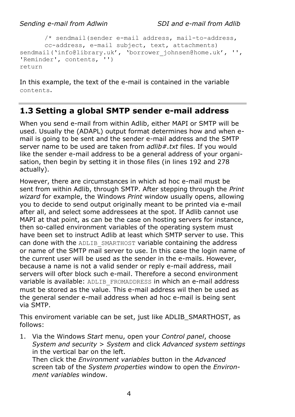```
/* sendmail(sender e-mail address, mail-to-address, 
      cc-address, e-mail subject, text, attachments)
sendmail('info@library.uk', 'borrower_johnsen@home.uk', '', 
'Reminder', contents, '')
return
```
In this example, the text of the e-mail is contained in the variable contents.

## <span id="page-7-0"></span>**1.3 Setting a global SMTP sender e-mail address**

When you send e-mail from within Adlib, either MAPI or SMTP will be used. Usually the (ADAPL) output format determines how and when email is going to be sent and the sender e-mail address and the SMTP server name to be used are taken from *adlib#.txt* files. If you would like the sender e-mail address to be a general address of your organisation, then begin by setting it in those files (in lines 192 and 278 actually).

However, there are circumstances in which ad hoc e-mail must be sent from within Adlib, through SMTP. After stepping through the *Print wizard* for example, the Windows *Print* window usually opens, allowing you to decide to send output originally meant to be printed via e-mail after all, and select some addressees at the spot. If Adlib cannot use MAPI at that point, as can be the case on hosting servers for instance, then so-called environment variables of the operating system must have been set to instruct Adlib at least which SMTP server to use. This can done with the ADLIB\_SMARTHOST variable containing the address or name of the SMTP mail server to use. In this case the login name of the current user will be used as the sender in the e-mails. However, because a name is not a valid sender or reply e-mail address, mail servers will ofter block such e-mail. Therefore a second environment variable is available: ADLIB\_FROMADDRESS in which an e-mail address must be stored as the value. This e-mail address wil then be used as the general sender e-mail address when ad hoc e-mail is being sent via SMTP.

This enviroment variable can be set, just like ADLIB\_SMARTHOST, as follows:

1. Via the Windows *Start* menu, open your *Control panel*, choose *System and security* > *System* and click *Advanced system settings* in the vertical bar on the left. Then click the *Environment variables* button in the *Advanced*

screen tab of the *System properties* window to open the *Environment variables* window.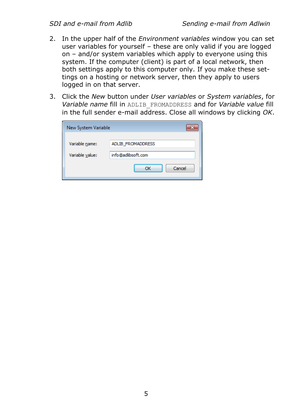- 2. In the upper half of the *Environment variables* window you can set user variables for yourself – these are only valid if you are logged on – and/or system variables which apply to everyone using this system. If the computer (client) is part of a local network, then both settings apply to this computer only. If you make these settings on a hosting or network server, then they apply to users logged in on that server.
- 3. Click the *New* button under *User variables* or *System variables*, for *Variable name* fill in ADLIB\_FROMADDRESS and for *Variable value* fill in the full sender e-mail address. Close all windows by clicking *OK*.

| New System Variable |                          |  |
|---------------------|--------------------------|--|
| Variable name:      | <b>ADLIB FROMADDRESS</b> |  |
| Variable value:     | info@adlibsoft.com       |  |
|                     | Cancel<br>ОК             |  |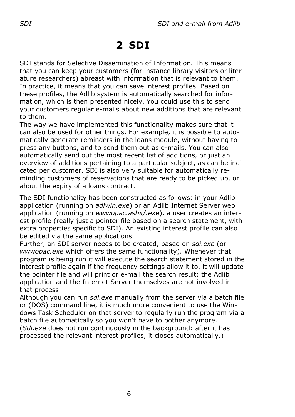# <span id="page-9-0"></span>**2 SDI**

SDI stands for Selective Dissemination of Information. This means that you can keep your customers (for instance library visitors or literature researchers) abreast with information that is relevant to them. In practice, it means that you can save interest profiles. Based on these profiles, the Adlib system is automatically searched for information, which is then presented nicely. You could use this to send your customers regular e-mails about new additions that are relevant to them.

The way we have implemented this functionality makes sure that it can also be used for other things. For example, it is possible to automatically generate reminders in the loans module, without having to press any buttons, and to send them out as e-mails. You can also automatically send out the most recent list of additions, or just an overview of additions pertaining to a particular subject, as can be indicated per customer. SDI is also very suitable for automatically reminding customers of reservations that are ready to be picked up, or about the expiry of a loans contract.

The SDI functionality has been constructed as follows: in your Adlib application (running on *adlwin.exe*) or an Adlib Internet Server web application (running on *wwwopac.ashx/.exe*), a user creates an interest profile (really just a pointer file based on a search statement, with extra properties specific to SDI). An existing interest profile can also be edited via the same applications.

Further, an SDI server needs to be created, based on *sdi.exe* (or *wwwopac.exe* which offers the same functionality). Whenever that program is being run it will execute the search statement stored in the interest profile again if the frequency settings allow it to, it will update the pointer file and will print or e-mail the search result: the Adlib application and the Internet Server themselves are not involved in that process.

Although you can run *sdi.exe* manually from the server via a batch file or (DOS) command line, it is much more convenient to use the Windows Task Scheduler on that server to regularly run the program via a batch file automatically so you won't have to bother anymore. (*Sdi.exe* does not run continuously in the background: after it has processed the relevant interest profiles, it closes automatically.)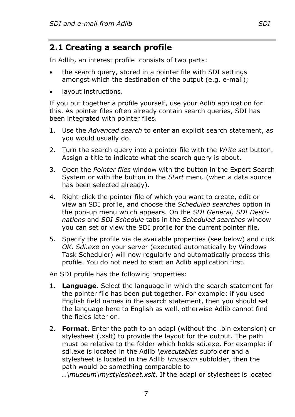## <span id="page-10-0"></span>**2.1 Creating a search profile**

In Adlib, an interest profile consists of two parts:

- the search query, stored in a pointer file with SDI settings amongst which the destination of the output (e.g. e-mail);
- layout instructions.

If you put together a profile yourself, use your Adlib application for this. As pointer files often already contain search queries, SDI has been integrated with pointer files.

- 1. Use the *Advanced search* to enter an explicit search statement, as you would usually do.
- 2. Turn the search query into a pointer file with the *Write set* button. Assign a title to indicate what the search query is about.
- 3. Open the *Pointer files* window with the button in the Expert Search System or with the button in the *Start* menu (when a data source has been selected already).
- 4. Right-click the pointer file of which you want to create, edit or view an SDI profile, and choose the *Scheduled searches* option in the pop-up menu which appears. On the *SDI General, SDI Destinations* and *SDI Schedule* tabs in the *Scheduled searches* window you can set or view the SDI profile for the current pointer file.
- 5. Specify the profile via de available properties (see below) and click *OK*. *Sdi.exe* on your server (executed automatically by Windows Task Scheduler) will now regularly and automatically process this profile. You do not need to start an Adlib application first.

An SDI profile has the following properties:

- 1. **Language**. Select the language in which the search statement for the pointer file has been put together. For example: if you used English field names in the search statement, then you should set the language here to English as well, otherwise Adlib cannot find the fields later on.
- 2. **Format**. Enter the path to an adapl (without the .bin extension) or stylesheet (.xslt) to provide the layout for the output. The path must be relative to the folder which holds sdi.exe. For example: if sdi.exe is located in the Adlib *\executables* subfolder and a stylesheet is located in the Adlib *\museum* subfolder, then the path would be something comparable to *..\museum\mystylesheet.xslt*. If the adapl or stylesheet is located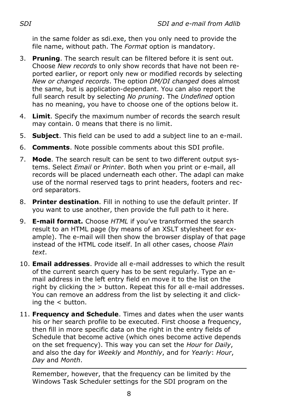in the same folder as sdi.exe, then you only need to provide the file name, without path. The *Format* option is mandatory.

- 3. **Pruning**. The search result can be filtered before it is sent out. Choose *New records* to only show records that have not been reported earlier, or report only new or modified records by selecting *New or changed records*. The option *DM/DI changed* does almost the same, but is application-dependant. You can also report the full search result by selecting *No pruning*. The *Undefined* option has no meaning, you have to choose one of the options below it.
- 4. **Limit**. Specify the maximum number of records the search result may contain. 0 means that there is no limit.
- 5. **Subject**. This field can be used to add a subject line to an e-mail.
- 6. **Comments**. Note possible comments about this SDI profile.
- 7. **Mode**. The search result can be sent to two different output systems. Select *Email* or *Printer*. Both when you print or e-mail, all records will be placed underneath each other. The adapl can make use of the normal reserved tags to print headers, footers and record separators.
- 8. **Printer destination**. Fill in nothing to use the default printer. If you want to use another, then provide the full path to it here.
- 9. **E-mail format.** Choose *HTML* if you've transformed the search result to an HTML page (by means of an XSLT stylesheet for example). The e-mail will then show the browser display of that page instead of the HTML code itself. In all other cases, choose *Plain text*.
- 10. **Email addresses**. Provide all e-mail addresses to which the result of the current search query has to be sent regularly. Type an email address in the left entry field en move it to the list on the right by clicking the > button. Repeat this for all e-mail addresses. You can remove an address from the list by selecting it and clicking the  $\lt$  button.
- 11. **Frequency and Schedule**. Times and dates when the user wants his or her search profile to be executed. First choose a frequency, then fill in more specific data on the right in the entry fields of Schedule that become active (which ones become active depends on the set frequency). This way you can set the *Hour* for *Daily*, and also the day for *Weekly* and *Monthly*, and for *Yearly*: *Hour*, *Day* and *Month*.

Remember, however, that the frequency can be limited by the Windows Task Scheduler settings for the SDI program on the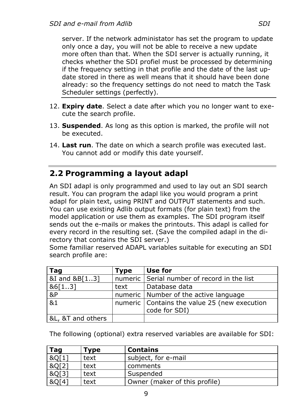server. If the network administator has set the program to update only once a day, you will not be able to receive a new update more often than that. When the SDI server is actually running, it checks whether the SDI profiel must be processed by determining if the frequency setting in that profile and the date of the last update stored in there as well means that it should have been done already: so the frequency settings do not need to match the Task Scheduler settings (perfectly).

- 12. **Expiry date**. Select a date after which you no longer want to execute the search profile.
- 13. **Suspended**. As long as this option is marked, the profile will not be executed.
- 14. **Last run**. The date on which a search profile was executed last. You cannot add or modify this date yourself.

## <span id="page-12-0"></span>**2.2 Programming a layout adapl**

An SDI adapl is only programmed and used to lay out an SDI search result. You can program the adapl like you would program a print adapl for plain text, using PRINT and OUTPUT statements and such. You can use existing Adlib output formats (for plain text) from the model application or use them as examples. The SDI program itself sends out the e-mails or makes the printouts. This adapl is called for every record in the resulting set. (Save the compiled adapl in the directory that contains the SDI server.)

Some familiar reserved ADAPL variables suitable for executing an SDI search profile are:

| Tag               | Type | Use for                                                         |
|-------------------|------|-----------------------------------------------------------------|
| &I and &B[13]     |      | numeric Serial number of record in the list                     |
| 86[13]            | text | l Database data                                                 |
| $\overline{8P}$   |      | numeric   Number of the active language                         |
| 81                |      | numeric   Contains the value 25 (new execution<br>code for SDI) |
| &L, &T and others |      |                                                                 |

The following (optional) extra reserved variables are available for SDI:

| Tag   | Type | <b>Contains</b>               |  |  |
|-------|------|-------------------------------|--|--|
| &Q[1] | text | subject, for e-mail           |  |  |
| &Q[2] | text | comments                      |  |  |
| &Q[3] | text | Suspended                     |  |  |
| &O[4] | text | Owner (maker of this profile) |  |  |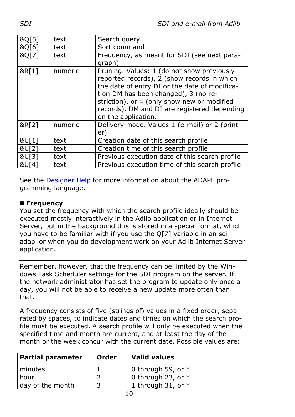| &Q[5] | text    | Search query                                                                                                                                                                                                                                                                                             |  |
|-------|---------|----------------------------------------------------------------------------------------------------------------------------------------------------------------------------------------------------------------------------------------------------------------------------------------------------------|--|
| &Q[6] | text    | Sort command                                                                                                                                                                                                                                                                                             |  |
| &Q[7] | text    | Frequency, as meant for SDI (see next para-<br>graph)                                                                                                                                                                                                                                                    |  |
| &R[1] | numeric | Pruning. Values: 1 (do not show previously<br>reported records), 2 (show records in which<br>the date of entry DI or the date of modifica-<br>tion DM has been changed), 3 (no re-<br>striction), or 4 (only show new or modified<br>records). DM and DI are registered depending<br>on the application. |  |
| &R[2] | numeric | Delivery mode. Values 1 (e-mail) or 2 (print-<br>er)                                                                                                                                                                                                                                                     |  |
| &U[1] | text    | Creation date of this search profile                                                                                                                                                                                                                                                                     |  |
| &U[2] | text    | Creation time of this search profile                                                                                                                                                                                                                                                                     |  |
| &U[3] | text    | Previous execution date of this search profile                                                                                                                                                                                                                                                           |  |
| &U[4] | text    | Previous execution time of this search profile                                                                                                                                                                                                                                                           |  |

See the [Designer Help](http://documentation.axiell.com/alm/en/index.html?ds_adaprogrammingintro.html) for more information about the ADAPL programming language.

#### ■ **Frequency**

You set the frequency with which the search profile ideally should be executed mostly interactively in the Adlib application or in Internet Server, but in the background this is stored in a special format, which you have to be familiar with if you use the Q[7] variable in an sdi adapl or when you do development work on your Adlib Internet Server application.

Remember, however, that the frequency can be limited by the Windows Task Scheduler settings for the SDI program on the server. If the network administrator has set the program to update only once a day, you will not be able to receive a new update more often than that.

A frequency consists of five (strings of) values in a fixed order, separated by spaces, to indicate dates and times on which the search profile must be executed. A search profile will only be executed when the specified time and month are current, and at least the day of the month or the week concur with the current date. Possible values are:

| <b>Partial parameter</b> | Order | Valid values         |
|--------------------------|-------|----------------------|
| minutes                  |       | 0 through 59, or $*$ |
| hour                     |       | 0 through 23, or $*$ |
| day of the month         |       | 1 through 31, or $*$ |
|                          |       |                      |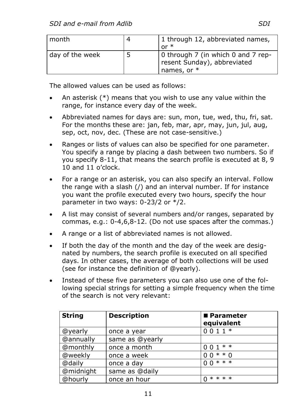| l month         |   | 1 through 12, abbreviated names,<br>$or *$                                       |
|-----------------|---|----------------------------------------------------------------------------------|
| day of the week | 5 | 0 through 7 (in which 0 and 7 rep-<br>resent Sunday), abbreviated<br>names, or * |

The allowed values can be used as follows:

- An asterisk (\*) means that you wish to use any value within the range, for instance every day of the week.
- Abbreviated names for days are: sun, mon, tue, wed, thu, fri, sat. For the months these are: jan, feb, mar, apr, may, jun, jul, aug, sep, oct, nov, dec. (These are not case-sensitive.)
- Ranges or lists of values can also be specified for one parameter. You specify a range by placing a dash between two numbers. So if you specify 8-11, that means the search profile is executed at 8, 9 10 and 11 o'clock.
- For a range or an asterisk, you can also specify an interval. Follow the range with a slash (/) and an interval number. If for instance you want the profile executed every two hours, specify the hour parameter in two ways: 0-23/2 or \*/2.
- A list may consist of several numbers and/or ranges, separated by commas, e.g.: 0-4,6,8-12. (Do not use spaces after the commas.)
- A range or a list of abbreviated names is not allowed.
- If both the day of the month and the day of the week are designated by numbers, the search profile is executed on all specified days. In other cases, the average of both collections will be used (see for instance the definition of @yearly).
- Instead of these five parameters you can also use one of the following special strings for setting a simple frequency when the time of the search is not very relevant:

| <b>String</b> | <b>Description</b> | ■ Parameter<br>equivalent |
|---------------|--------------------|---------------------------|
| @yearly       | once a year        | $0011*$                   |
| @annually     | same as @yearly    |                           |
| @monthly      | once a month       | $001**$                   |
| @weekly       | once a week        | $* * 0$<br>0 <sub>0</sub> |
| @daily        | once a day         | $00***$                   |
| @midnight     | same as @daily     |                           |
| @hourly       | once an hour       | * * * *<br>$\Omega$       |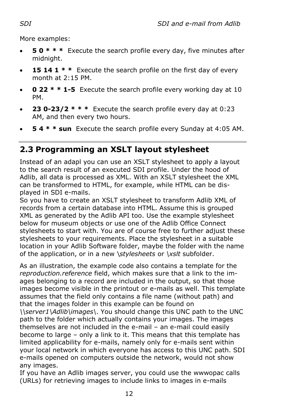More examples:

- **5 0 \* \* \*** Execute the search profile every day, five minutes after midnight.
- **15 14 1 \* \*** Execute the search profile on the first day of every month at 2:15 PM.
- **0 22 \* \* 1-5** Execute the search profile every working day at 10 PM.
- **23 0-23/2 \* \* \*** Execute the search profile every day at 0:23 AM, and then every two hours.
- **5 4 \* \* sun** Execute the search profile every Sunday at 4:05 AM.

## <span id="page-15-0"></span>**2.3 Programming an XSLT layout stylesheet**

Instead of an adapl you can use an XSLT stylesheet to apply a layout to the search result of an executed SDI profile. Under the hood of Adlib, all data is processed as XML. With an XSLT stylesheet the XML can be transformed to HTML, for example, while HTML can be displayed in SDI e-mails.

So you have to create an XSLT stylesheet to transform Adlib XML of records from a certain database into HTML. Assume this is grouped XML as generated by the Adlib API too. Use the example stylesheet below for museum objects or use one of the Adlib Office Connect stylesheets to start with. You are of course free to further adjust these stylesheets to your requirements. Place the stylesheet in a suitable location in your Adlib Software folder, maybe the folder with the name of the application, or in a new \*stylesheets* or *\xslt* subfolder.

As an illustration, the example code also contains a template for the *reproduction.reference* field, which makes sure that a link to the images belonging to a record are included in the output, so that those images become visible in the printout or e-mails as well. This template assumes that the field only contains a file name (without path) and that the images folder in this example can be found on *\\server1\Adlib\images\*. You should change this UNC path to the UNC path to the folder which actually contains your images. The images themselves are not included in the e-mail – an e-mail could easily become to large – only a link to it. This means that this template has limited applicability for e-mails, namely only for e-mails sent within your local network in which everyone has access to this UNC path. SDI e-mails opened on computers outside the network, would not show any images.

If you have an Adlib images server, you could use the wwwopac calls (URLs) for retrieving images to include links to images in e-mails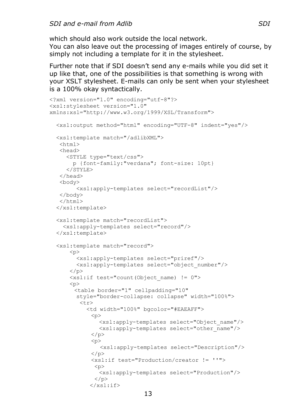which should also work outside the local network.

You can also leave out the processing of images entirely of course, by simply not including a template for it in the stylesheet.

Further note that if SDI doesn't send any e-mails while you did set it up like that, one of the possibilities is that something is wrong with your XSLT stylesheet. E-mails can only be sent when your stylesheet is a 100% okay syntactically.

```
<?xml version="1.0" encoding="utf-8"?>
<xsl:stylesheet version="1.0" 
xmlns:xsl="http://www.w3.org/1999/XSL/Transform">
   <xsl:output method="html" encoding="UTF-8" indent="yes"/>
   <xsl:template match="/adlibXML">
   <html> <head>
      <STYLE type="text/css">
        p {font-family:"verdana"; font-size: 10pt}
      </STYLE>
    </head>
   <body>
          <xsl:apply-templates select="recordList"/>
    </body>
    </html>
   </xsl:template>
   <xsl:template match="recordList">
     <xsl:apply-templates select="record"/>
   </xsl:template>
   <xsl:template match="record">
      \langle n \rangle <xsl:apply-templates select="priref"/> 
         <xsl:apply-templates select="object_number"/>
      \langle/p>
       <xsl:if test="count(Object_name) != 0">
      \langle n \rangle<table border="1" cellpadding="10" 
         style="border-collapse: collapse" width="100%">
          <tr>
             <td width="100%" bgcolor="#EAEAFF">
             \langle n \rangle<xsl:apply-templates select="Object_name"/>
                <xsl:apply-templates select="other_name"/>
             \langle/p>
             < p > <xsl:apply-templates select="Description"/>
             \langle/p>
              <xsl:if test="Production/creator != ''">
               < p ><xsl:apply-templates select="Production"/>
              \langle/p>
             \langle xs| : i \in \rangle
```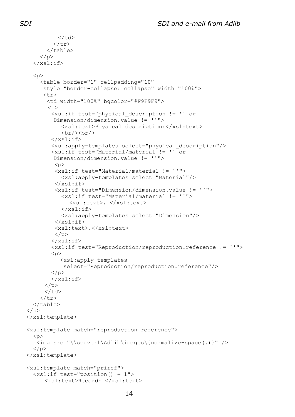```
\langle t, d \rangle\langle/tr>
       \langle/table>
    \langle/n>
  \langle xs1:if\rangle<sub>0</sub></sub>
     <table border="1" cellpadding="10" 
       style="border-collapse: collapse" width="100%">
      \langle \text{tr} \rangle <td width="100%" bgcolor="#F9F9F9">
       < p > <xsl:if test="physical_description != '' or 
          Dimension/dimension.value != ''">
             <xsl:text>Physical description:</xsl:text>
            \langle h r / \rangle\langle xs1:if\rangle <xsl:apply-templates select="physical_description"/>
          <xsl:if test="Material/material != '' or 
          Dimension/dimension.value != ''">
          < p > <xsl:if test="Material/material != ''">
             <xsl:apply-templates select="Material"/>
          \langle xsl:if\rangle <xsl:if test="Dimension/dimension.value != ''">
             <xsl:if test="Material/material != ''">
               <xsl:text>, </xsl:text>
            \langle xs| : i \in \rangle <xsl:apply-templates select="Dimension"/>
          \langle xsl:if>
           <xsl:text>.</xsl:text>
          \langle/p>
         \langle xs|:if\rangle <xsl:if test="Reproduction/reproduction.reference != ''">
         p <xsl:apply-templates 
              select="Reproduction/reproduction.reference"/>
         \langle/p>
         \langle xsl:if\rangle\langle/p>
      \langle/td>
    \langle/tr>
  \langle/table>
\langle/p>
 </xsl:template>
 <xsl:template match="reproduction.reference">
  p <img src="\\server1\Adlib\images\{normalize-space(.)}" />
  </p>
 </xsl:template>
 <xsl:template match="priref">
   <xsl:if test="position() = 1">
      <xsl:text>Record: </xsl:text>
```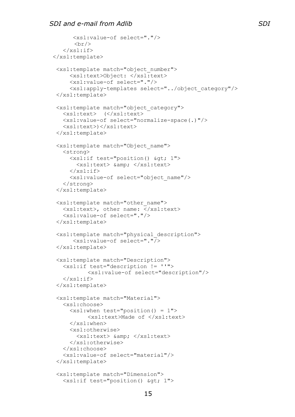```
 <xsl:value-of select="."/>
       \langle \text{br}/\rangle\langle xs1:if\rangle</xsl:template> 
  <xsl:template match="object_number">
       <xsl:text>Object: </xsl:text> 
       <xsl:value-of select="."/>
       <xsl:apply-templates select="../object_category"/>
  </xsl:template>
  <xsl:template match="object_category">
    <xsl:text> (</xsl:text>
    <xsl:value-of select="normalize-space(.)"/>
    <xsl:text>)</xsl:text>
  </xsl:template>
  <xsl:template match="Object_name">
    <strong>
     \langle xsl: \text{if } test="position() \text{ def; } 1" \rangle<xsl:text> &amp; </xsl:text>
     \langle xsl:if\rangle <xsl:value-of select="object_name"/>
    </strong>
  </xsl:template>
  <xsl:template match="other_name">
   \langle xsl:text\rangle, other name: \langle xsl:text\rangle <xsl:value-of select="."/>
  </xsl:template>
  <xsl:template match="physical_description">
        <xsl:value-of select="."/>
  </xsl:template>
  <xsl:template match="Description">
    <xsl:if test="description != ''">
            <xsl:value-of select="description"/>
   \langle xs| : i \in \rangle </xsl:template>
  <xsl:template match="Material">
    <xsl:choose>
       <xsl:when test="position() = 1">
            <xsl:text>Made of </xsl:text>
      </xsl:when>
      <xsl:otherwise>
        <xsl:text> &amp; </xsl:text>
       </xsl:otherwise>
    </xsl:choose>
    <xsl:value-of select="material"/>
  </xsl:template>
  <xsl:template match="Dimension">
   \langle xsl:if test="position() \text{`sqt; } 1" \rangle
```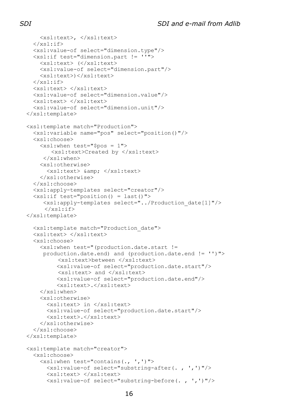```
 <xsl:text>, </xsl:text>
  \langle xs|:if\rangle <xsl:value-of select="dimension.type"/>
   <xsl:if test="dimension.part != ''">
     <xsl:text> (</xsl:text>
     <xsl:value-of select="dimension.part"/>
     <xsl:text>)</xsl:text>
  \langle xs|:if\rangle <xsl:text> </xsl:text>
   <xsl:value-of select="dimension.value"/>
   <xsl:text> </xsl:text>
   <xsl:value-of select="dimension.unit"/>
 </xsl:template>
 <xsl:template match="Production">
   <xsl:variable name="pos" select="position()"/>
   <xsl:choose>
     <xsl:when test="$pos = 1">
         <xsl:text>Created by </xsl:text>
      </xsl:when>
     <xsl:otherwise>
      <xsl:text> &amp; </xsl:text>
     </xsl:otherwise>
   </xsl:choose>
   <xsl:apply-templates select="creator"/>
   <xsl:if test="position() = last()">
      <xsl:apply-templates select="../Production_date[1]"/>
     \langle xs1:if\rangle </xsl:template>
   <xsl:template match="Production_date">
   <xsl:text> </xsl:text>
   <xsl:choose>
     <xsl:when test="(production.date.start != 
      production.date.end) and (production.date.end != '')">
           <xsl:text>between </xsl:text>
          <xsl:value-of select="production.date.start"/>
           <xsl:text> and </xsl:text>
          <xsl:value-of select="production.date.end"/>
          <xsl:text>.</xsl:text>
    \langle xs1:when\rangle <xsl:otherwise>
       <xsl:text> in </xsl:text>
       <xsl:value-of select="production.date.start"/>
       <xsl:text>.</xsl:text>
     </xsl:otherwise>
   </xsl:choose>
 </xsl:template>
 <xsl:template match="creator">
   <xsl:choose>
     <xsl:when test="contains(., ',')">
       <xsl:value-of select="substring-after(. , ',')"/>
       <xsl:text> </xsl:text>
       <xsl:value-of select="substring-before(. , ',')"/>
```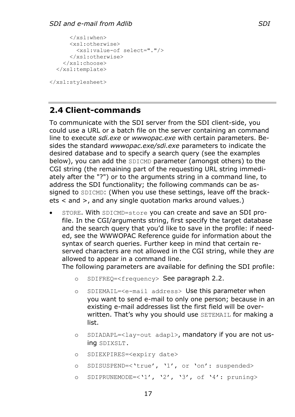```
 </xsl:when>
     <xsl:otherwise>
       <xsl:value-of select="."/>
     </xsl:otherwise>
   </xsl:choose>
 </xsl:template>
```
</xsl:stylesheet>

## <span id="page-20-0"></span>**2.4 Client-commands**

To communicate with the SDI server from the SDI client-side, you could use a URL or a batch file on the server containing an command line to execute *sdi.exe* or *wwwopac.exe* with certain parameters. Besides the standard *wwwopac.exe/sdi.exe* parameters to indicate the desired database and to specify a search query (see the examples below), you can add the SDICMD parameter (amongst others) to the CGI string (the remaining part of the requesting URL string immediately after the "?") or to the arguments string in a command line, to address the SDI functionality; the following commands can be assigned to SDICMD: (When you use these settings, leave off the brackets < and >, and any single quotation marks around values.)

• STORE. With SDICMD=store you can create and save an SDI profile. In the CGI/arguments string, first specify the target database and the search query that you'd like to save in the profile: if needed, see the WWWOPAC Reference guide for information about the syntax of search queries. Further keep in mind that certain reserved characters are not allowed in the CGI string, while they *are* allowed to appear in a command line.

The following parameters are available for defining the SDI profile:

- o SDIFREQ=<frequency> See paragraph [2.2.](#page-12-0)
- o SDIEMAIL=<e-mail address> Use this parameter when you want to send e-mail to only one person; because in an existing e-mail addresses list the first field will be overwritten. That's why you should use SETEMAIL for making a list.
- o SDIADAPL=<lay-out adapl>, mandatory if you are not using SDIXSLT.
- o SDIEXPIRES=<expiry date>
- o SDISUSPEND=<'true', '1', or 'on': suspended>
- o SDIPRUNEMODE=<'1', '2', '3', of '4': pruning>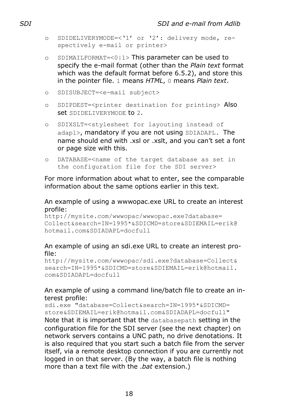- o SDIDELIVERYMODE=<'1' or '2': delivery mode, respectively e-mail or printer>
- o SDIMAILFORMAT=<0|1> This parameter can be used to specify the e-mail format (other than the *Plain text* format which was the default format before 6.5.2), and store this in the pointer file. 1 means *HTML*, 0 means *Plain text*.
- o SDISUBJECT=<e-mail subject>
- o SDIPDEST=<printer destination for printing> Also set SDIDELIVERYMODE to 2.
- o SDIXSLT=<stylesheet for layouting instead of adapl>, mandatory if you are not using SDIADAPL. The name should end with .xsl or .xslt, and you can't set a font or page size with this.
- o DATABASE=<name of the target database as set in the configuration file for the SDI server>

For more information about what to enter, see the comparable information about the same options earlier in this text.

#### An example of using a wwwopac.exe URL to create an interest profile:

http://mysite.com/wwwopac/wwwopac.exe?database= Collect&search=IN=1995\*&SDICMD=store&SDIEMAIL=erik@ hotmail.com&SDIADAPL=docfull

#### An example of using an sdi.exe URL to create an interest profile:

http://mysite.com/wwwopac/sdi.exe?database=Collect& search=IN=1995\*&SDICMD=store&SDIEMAIL=erik@hotmail. com&SDIADAPL=docfull

#### An example of using a command line/batch file to create an interest profile:

sdi.exe "database=Collect&search=IN=1995\*&SDICMD= store&SDIEMAIL=erik@hotmail.com&SDIADAPL=docfull" Note that it is important that the databasepath setting in the configuration file for the SDI server (see the next chapter) on network servers contains a UNC path, no drive denotations. It is also required that you start such a batch file from the server itself, via a remote desktop connection if you are currently not logged in on that server. (By the way, a batch file is nothing more than a text file with the .*bat* extension.)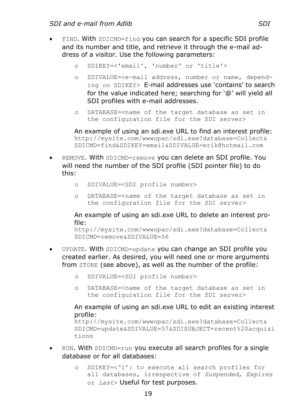- FIND. With SDICMD=find you can search for a specific SDI profile and its number and title, and retrieve it through the e-mail address of a visitor. Use the following parameters:
	- o SDIKEY=<'email', 'number' or 'title'>
	- o SDIVALUE=<e-mail address, number or name, depending on SDIKEY> E-mail addresses use 'contains' to search for the value indicated here; searching for '@' will yield all SDI profiles with e-mail addresses.
	- o DATABASE=<name of the target database as set in the configuration file for the SDI server>

An example of using an sdi.exe URL to find an interest profile: http://mysite.com/wwwopac/sdi.exe?database=Collect& SDICMD=find&SDIKEY=email&SDIVALUE=erik@hotmail.com

- REMOVE. With SDICMD=remove you can delete an SDI profile. You will need the number of the SDI profile (SDI pointer file) to do this:
	- o SDIVALUE=<SDI profile number>
	- o DATABASE=<name of the target database as set in the configuration file for the SDI server>

An example of using an sdi.exe URL to delete an interest profile:

http://mysite.com/wwwopac/sdi.exe?database=Collect& SDICMD=remove&SDIVALUE=56

- UPDATE. With SDICMD=update you can change an SDI profile you created earlier. As desired, you will need one or more arguments from STORE (see above), as well as the number of the profile:
	- o SDIVALUE=<SDI profile number>
	- o DATABASE=<name of the target database as set in the configuration file for the SDI server>

An example of using an sdi.exe URL to edit an existing interest profile:

```
http://mysite.com/wwwopac/sdi.exe?database=Collect&
SDICMD=update&SDIVALUE=57&SDISUBJECT=recent%20acquisi
tions
```
- RUN. With SDICMD=run you execute all search profiles for a single database or for all databases:
	- o SDIKEY=<'1': to execute all search profiles for all databases, irrespective of *Suspended*, *Expires* or *Last*> Useful for test purposes.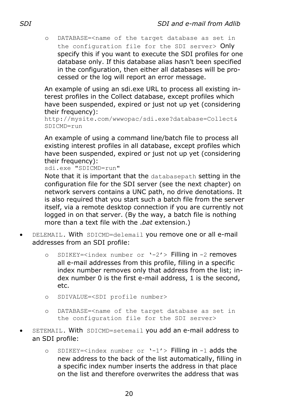o DATABASE=<name of the target database as set in the configuration file for the SDI server> Only specify this if you want to execute the SDI profiles for one database only. If this database alias hasn't been specified in the configuration, then either all databases will be processed or the log will report an error message.

An example of using an sdi.exe URL to process all existing interest profiles in the Collect database, except profiles which have been suspended, expired or just not up yet (considering their frequency):

```
http://mysite.com/wwwopac/sdi.exe?database=Collect&
SDICMD=run
```
An example of using a command line/batch file to process all existing interest profiles in all database, except profiles which have been suspended, expired or just not up yet (considering their frequency):

```
sdi.exe "SDICMD=run"
```
Note that it is important that the databasepath setting in the configuration file for the SDI server (see the next chapter) on network servers contains a UNC path, no drive denotations. It is also required that you start such a batch file from the server itself, via a remote desktop connection if you are currently not logged in on that server. (By the way, a batch file is nothing more than a text file with the .*bat* extension.)

- DELEMAIL. With SDICMD=delemail you remove one or all e-mail addresses from an SDI profile:
	- o SDIKEY=<index number or '-2'> Filling in -2 removes all e-mail addresses from this profile, filling in a specific index number removes only that address from the list; index number 0 is the first e-mail address, 1 is the second, etc.
	- o SDIVALUE=<SDI profile number>
	- o DATABASE=<name of the target database as set in the configuration file for the SDI server>
- SETEMAIL. With SDICMD=setemail you add an e-mail address to an SDI profile:
	- o SDIKEY=<index number or '-1'> Filling in -1 adds the new address to the back of the list automatically, filling in a specific index number inserts the address in that place on the list and therefore overwrites the address that was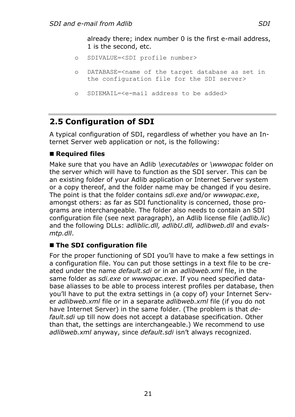already there; index number 0 is the first e-mail address, 1 is the second, etc.

- o SDIVALUE=<SDI profile number>
- o DATABASE=<name of the target database as set in the configuration file for the SDI server>
- o SDIEMAIL=<e-mail address to be added>

## <span id="page-24-0"></span>**2.5 Configuration of SDI**

A typical configuration of SDI, regardless of whether you have an Internet Server web application or not, is the following:

### ■ **Required files**

Make sure that you have an Adlib *\executables* or *\wwwopac* folder on the server which will have to function as the SDI server. This can be an existing folder of your Adlib application or Internet Server system or a copy thereof, and the folder name may be changed if you desire. The point is that the folder contains *sdi.exe* and/or *wwwopac.exe*, amongst others: as far as SDI functionality is concerned, those programs are interchangeable. The folder also needs to contain an SDI configuration file (see next paragraph), an Adlib license file (*adlib.lic*) and the following DLLs: *adliblic.dll, adlibU.dll, adlibweb.dll* and *evalsmtp.dll*.

#### ■ The SDI configuration file

For the proper functioning of SDI you'll have to make a few settings in a configuration file. You can put those settings in a text file to be created under the name *default.sdi* or in an *adlibweb.xml* file, in the same folder as *sdi.exe* or *wwwopac.exe*. If you need specified database aliasses to be able to process interest profiles per database, then you'll have to put the extra settings in (a copy of) your Internet Server *adlibweb.xml* file or in a separate *adlibweb.xml* file (if you do not have Internet Server) in the same folder. (The problem is that *default.sdi* up till now does not accept a database specification. Other than that, the settings are interchangeable.) We recommend to use *adlibweb.xml* anyway, since *default.sdi* isn't always recognized.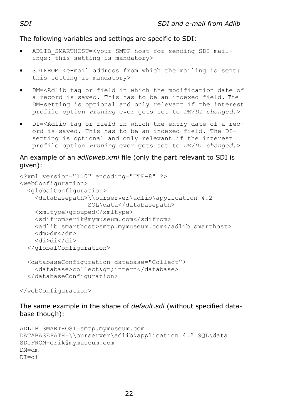The following variables and settings are specific to SDI:

- ADLIB\_SMARTHOST=<your SMTP host for sending SDI mailings: this setting is mandatory>
- SDIFROM=<e-mail address from which the mailing is sent: this setting is mandatory>
- DM=<Adlib tag or field in which the modification date of a record is saved. This has to be an indexed field. The DM-setting is optional and only relevant if the interest profile option *Pruning* ever gets set to *DM/DI changed*.>
- DI=<Adlib tag or field in which the entry date of a record is saved. This has to be an indexed field. The DIsetting is optional and only relevant if the interest profile option *Pruning* ever gets set to *DM/DI changed*.>

#### An example of an *adlibweb.xml* file (only the part relevant to SDI is given):

```
<?xml version="1.0" encoding="UTF-8" ?>
<webConfiguration>
   <globalConfiguration>
     <databasepath>\\ourserver\adlib\application 4.2
                    SQL\data</databasepath>
     <xmltype>grouped</xmltype>
     <sdifrom>erik@mymuseum.com</sdifrom>
    <adlib smarthost>smtp.mymuseum.com</adlib smarthost>
    \langle dm \rangle dm \langle dm \rangle <di>di</di>
   </globalConfiguration>
   <databaseConfiguration database="Collect">
    <database>collect&qt;intern</database>
   </databaseConfiguration>
```
</webConfiguration>

The same example in the shape of *default.sdi* (without specified database though):

```
ADLIB_SMARTHOST=smtp.mymuseum.com
DATABASEPATH=\\ourserver\adlib\application 4.2 SQL\data
SDIFROM=erik@mymuseum.com
DM=dm
DI=di
```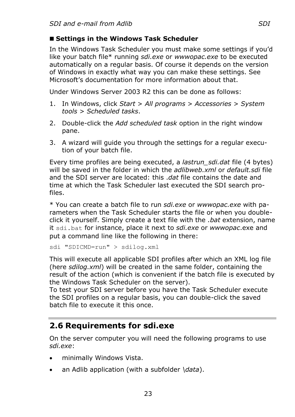### ■ Settings in the Windows Task Scheduler

In the Windows Task Scheduler you must make some settings if you'd like your batch file\* running *sdi.exe* or *wwwopac.exe* to be executed automatically on a regular basis. Of course it depends on the version of Windows in exactly what way you can make these settings. See Microsoft's documentation for more information about that.

Under Windows Server 2003 R2 this can be done as follows:

- 1. In Windows, click *Start* > *All programs* > *Accessories* > *System tools* > *Scheduled tasks*.
- 2. Double-click the *Add scheduled task* option in the right window pane.
- 3. A wizard will guide you through the settings for a regular execution of your batch file.

Every time profiles are being executed, a *lastrun\_sdi.dat* file (4 bytes) will be saved in the folder in which the *adlibweb.xml* or *default.sdi* file and the SDI server are located: this .*dat* file contains the date and time at which the Task Scheduler last executed the SDI search profiles.

\* You can create a batch file to run *sdi.exe* or *wwwopac.exe* with parameters when the Task Scheduler starts the file or when you doubleclick it yourself. Simply create a text file with the *.bat* extension, name it sdi.bat for instance, place it next to *sdi.exe* or *wwwopac*.exe and put a command line like the following in there:

sdi "SDICMD=run" > sdilog.xml

This will execute all applicable SDI profiles after which an XML log file (here *sdilog.xml*) will be created in the same folder, containing the result of the action (which is convenient if the batch file is executed by the Windows Task Scheduler on the server).

To test your SDI server before you have the Task Scheduler execute the SDI profiles on a regular basis, you can double-click the saved batch file to execute it this once.

## <span id="page-26-0"></span>**2.6 Requirements for sdi.exe**

On the server computer you will need the following programs to use *sdi.exe*:

- minimally Windows Vista.
- an Adlib application (with a subfolder *\data*).